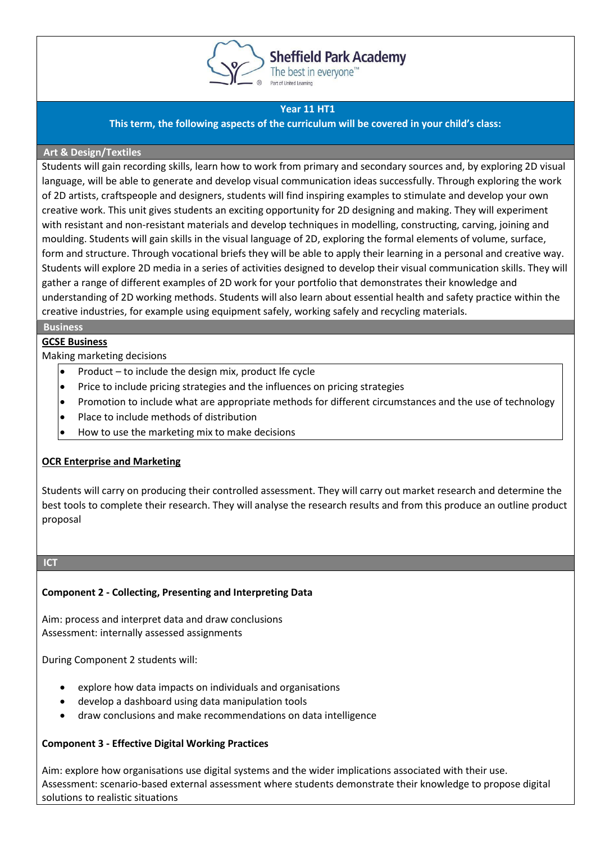

# **Sheffield Park Academy**

The best in everyone<sup>™</sup>

## **Year 11 HT1**

**This term, the following aspects of the curriculum will be covered in your child's class:**

### **Art & Design/Textiles**

Students will gain recording skills, learn how to work from primary and secondary sources and, by exploring 2D visual language, will be able to generate and develop visual communication ideas successfully. Through exploring the work of 2D artists, craftspeople and designers, students will find inspiring examples to stimulate and develop your own creative work. This unit gives students an exciting opportunity for 2D designing and making. They will experiment with resistant and non-resistant materials and develop techniques in modelling, constructing, carving, joining and moulding. Students will gain skills in the visual language of 2D, exploring the formal elements of volume, surface, form and structure. Through vocational briefs they will be able to apply their learning in a personal and creative way. Students will explore 2D media in a series of activities designed to develop their visual communication skills. They will gather a range of different examples of 2D work for your portfolio that demonstrates their knowledge and understanding of 2D working methods. Students will also learn about essential health and safety practice within the creative industries, for example using equipment safely, working safely and recycling materials.

### **Business**

## **GCSE Business**

Making marketing decisions

- Product  $-$  to include the design mix, product lfe cycle
- Price to include pricing strategies and the influences on pricing strategies
- Promotion to include what are appropriate methods for different circumstances and the use of technology
- Place to include methods of distribution
- How to use the marketing mix to make decisions

## **OCR Enterprise and Marketing**

Students will carry on producing their controlled assessment. They will carry out market research and determine the best tools to complete their research. They will analyse the research results and from this produce an outline product proposal

### **ICT**

## **Component 2 - Collecting, Presenting and Interpreting Data**

Aim: process and interpret data and draw conclusions Assessment: internally assessed assignments

During Component 2 students will:

- explore how data impacts on individuals and organisations
- develop a dashboard using data manipulation tools
- draw conclusions and make recommendations on data intelligence

## **Component 3 - Effective Digital Working Practices**

Aim: explore how organisations use digital systems and the wider implications associated with their use. Assessment: scenario-based external assessment where students demonstrate their knowledge to propose digital solutions to realistic situations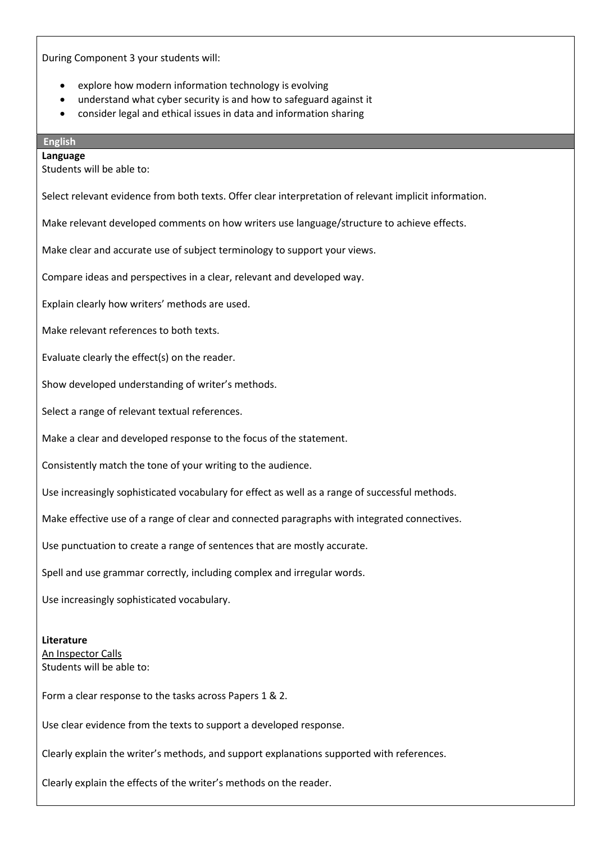During Component 3 your students will:

- explore how modern information technology is evolving
- understand what cyber security is and how to safeguard against it
- consider legal and ethical issues in data and information sharing

# **English**

**Language** Students will be able to:

Select relevant evidence from both texts. Offer clear interpretation of relevant implicit information.

Make relevant developed comments on how writers use language/structure to achieve effects.

Make clear and accurate use of subject terminology to support your views.

Compare ideas and perspectives in a clear, relevant and developed way.

Explain clearly how writers' methods are used.

Make relevant references to both texts.

Evaluate clearly the effect(s) on the reader.

Show developed understanding of writer's methods.

Select a range of relevant textual references.

Make a clear and developed response to the focus of the statement.

Consistently match the tone of your writing to the audience.

Use increasingly sophisticated vocabulary for effect as well as a range of successful methods.

Make effective use of a range of clear and connected paragraphs with integrated connectives.

Use punctuation to create a range of sentences that are mostly accurate.

Spell and use grammar correctly, including complex and irregular words.

Use increasingly sophisticated vocabulary.

#### **Literature**

An Inspector Calls Students will be able to:

Form a clear response to the tasks across Papers 1 & 2.

Use clear evidence from the texts to support a developed response.

Clearly explain the writer's methods, and support explanations supported with references.

Clearly explain the effects of the writer's methods on the reader.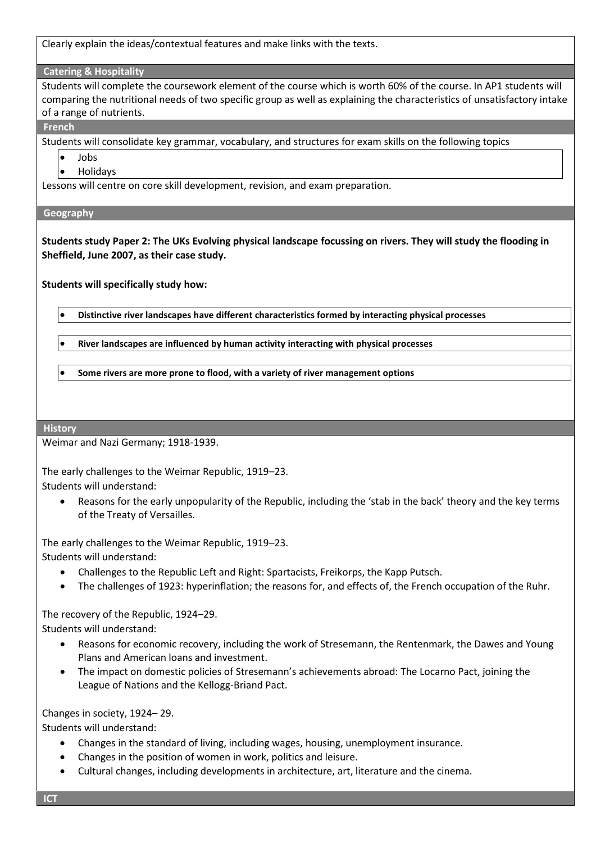Clearly explain the ideas/contextual features and make links with the texts.

### **Catering & Hospitality**

Students will complete the coursework element of the course which is worth 60% of the course. In AP1 students will comparing the nutritional needs of two specific group as well as explaining the characteristics of unsatisfactory intake of a range of nutrients.

**French**

Students will consolidate key grammar, vocabulary, and structures for exam skills on the following topics

- Jobs
- Holidays

Lessons will centre on core skill development, revision, and exam preparation.

### **Geography**

**Students study Paper 2: The UKs Evolving physical landscape focussing on rivers. They will study the flooding in Sheffield, June 2007, as their case study.**

**Students will specifically study how:**

• **Distinctive river landscapes have different characteristics formed by interacting physical processes**

• **River landscapes are influenced by human activity interacting with physical processes**

• **Some rivers are more prone to flood, with a variety of river management options**

### **History**

Weimar and Nazi Germany; 1918-1939.

The early challenges to the Weimar Republic, 1919–23. Students will understand:

• Reasons for the early unpopularity of the Republic, including the 'stab in the back' theory and the key terms of the Treaty of Versailles.

The early challenges to the Weimar Republic, 1919–23. Students will understand:

- Challenges to the Republic Left and Right: Spartacists, Freikorps, the Kapp Putsch.
- The challenges of 1923: hyperinflation; the reasons for, and effects of, the French occupation of the Ruhr.

The recovery of the Republic, 1924–29. Students will understand:

- Reasons for economic recovery, including the work of Stresemann, the Rentenmark, the Dawes and Young Plans and American loans and investment.
- The impact on domestic policies of Stresemann's achievements abroad: The Locarno Pact, joining the League of Nations and the Kellogg-Briand Pact.

Changes in society, 1924– 29.

Students will understand:

- Changes in the standard of living, including wages, housing, unemployment insurance.
- Changes in the position of women in work, politics and leisure.
- Cultural changes, including developments in architecture, art, literature and the cinema.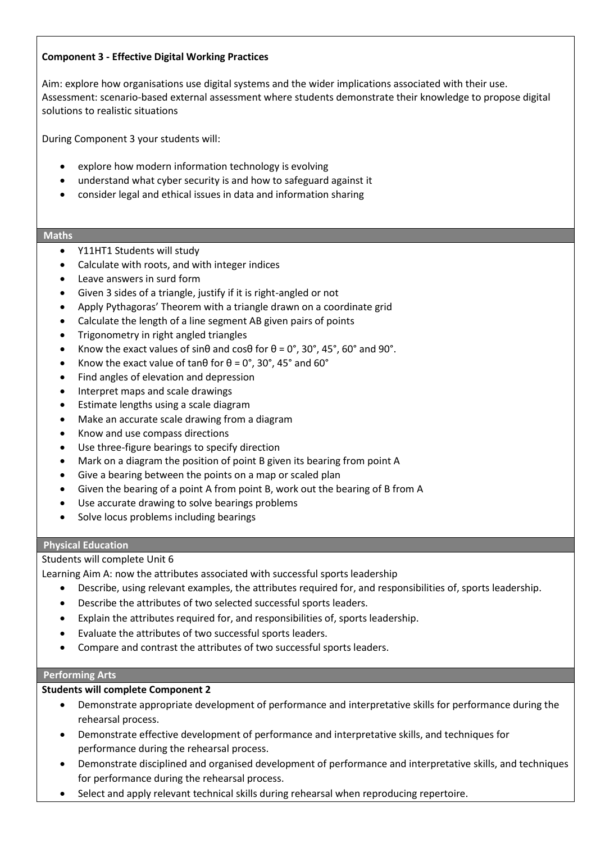## **Component 3 - Effective Digital Working Practices**

Aim: explore how organisations use digital systems and the wider implications associated with their use. Assessment: scenario-based external assessment where students demonstrate their knowledge to propose digital solutions to realistic situations

During Component 3 your students will:

- explore how modern information technology is evolving
- understand what cyber security is and how to safeguard against it
- consider legal and ethical issues in data and information sharing

### **Maths**

- Y11HT1 Students will study
- Calculate with roots, and with integer indices
- Leave answers in surd form
- Given 3 sides of a triangle, justify if it is right-angled or not
- Apply Pythagoras' Theorem with a triangle drawn on a coordinate grid
- Calculate the length of a line segment AB given pairs of points
- Trigonometry in right angled triangles
- Know the exact values of sinθ and cosθ for  $\theta = 0^\circ$ , 30°, 45°, 60° and 90°.
- Know the exact value of tan $\theta$  for  $\theta = 0^\circ$ , 30°, 45° and 60°
- Find angles of elevation and depression
- Interpret maps and scale drawings
- Estimate lengths using a scale diagram
- Make an accurate scale drawing from a diagram
- Know and use compass directions
- Use three-figure bearings to specify direction
- Mark on a diagram the position of point B given its bearing from point A
- Give a bearing between the points on a map or scaled plan
- Given the bearing of a point A from point B, work out the bearing of B from A
- Use accurate drawing to solve bearings problems
- Solve locus problems including bearings

## **Physical Education**

## Students will complete Unit 6

Learning Aim A: now the attributes associated with successful sports leadership

- Describe, using relevant examples, the attributes required for, and responsibilities of, sports leadership.
- Describe the attributes of two selected successful sports leaders.
- Explain the attributes required for, and responsibilities of, sports leadership.
- Evaluate the attributes of two successful sports leaders.
- Compare and contrast the attributes of two successful sports leaders.

### **Performing Arts**

## **Students will complete Component 2**

- Demonstrate appropriate development of performance and interpretative skills for performance during the rehearsal process.
- Demonstrate effective development of performance and interpretative skills, and techniques for performance during the rehearsal process.
- Demonstrate disciplined and organised development of performance and interpretative skills, and techniques for performance during the rehearsal process.
- Select and apply relevant technical skills during rehearsal when reproducing repertoire.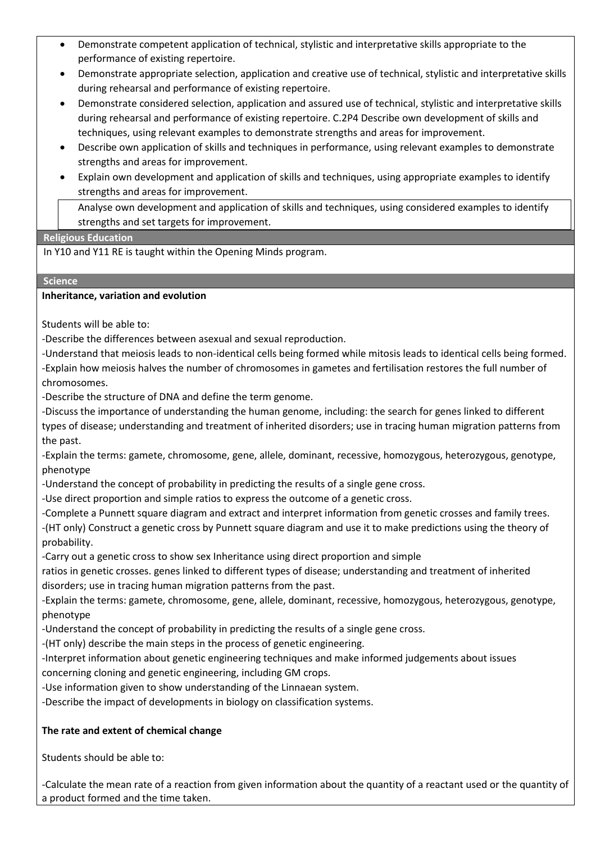- Demonstrate competent application of technical, stylistic and interpretative skills appropriate to the performance of existing repertoire.
- Demonstrate appropriate selection, application and creative use of technical, stylistic and interpretative skills during rehearsal and performance of existing repertoire.
- Demonstrate considered selection, application and assured use of technical, stylistic and interpretative skills during rehearsal and performance of existing repertoire. C.2P4 Describe own development of skills and techniques, using relevant examples to demonstrate strengths and areas for improvement.
- Describe own application of skills and techniques in performance, using relevant examples to demonstrate strengths and areas for improvement.
- Explain own development and application of skills and techniques, using appropriate examples to identify strengths and areas for improvement.

• Analyse own development and application of skills and techniques, using considered examples to identify strengths and set targets for improvement.

## **Religious Education**

In Y10 and Y11 RE is taught within the Opening Minds program.

## **Science**

## **Inheritance, variation and evolution**

Students will be able to:

-Describe the differences between asexual and sexual reproduction.

-Understand that meiosis leads to non-identical cells being formed while mitosis leads to identical cells being formed. -Explain how meiosis halves the number of chromosomes in gametes and fertilisation restores the full number of chromosomes.

-Describe the structure of DNA and define the term genome.

-Discuss the importance of understanding the human genome, including: the search for genes linked to different types of disease; understanding and treatment of inherited disorders; use in tracing human migration patterns from the past.

-Explain the terms: gamete, chromosome, gene, allele, dominant, recessive, homozygous, heterozygous, genotype, phenotype

-Understand the concept of probability in predicting the results of a single gene cross.

-Use direct proportion and simple ratios to express the outcome of a genetic cross.

-Complete a Punnett square diagram and extract and interpret information from genetic crosses and family trees. -(HT only) Construct a genetic cross by Punnett square diagram and use it to make predictions using the theory of probability.

-Carry out a genetic cross to show sex Inheritance using direct proportion and simple

ratios in genetic crosses. genes linked to different types of disease; understanding and treatment of inherited disorders; use in tracing human migration patterns from the past.

-Explain the terms: gamete, chromosome, gene, allele, dominant, recessive, homozygous, heterozygous, genotype, phenotype

-Understand the concept of probability in predicting the results of a single gene cross.

-(HT only) describe the main steps in the process of genetic engineering.

-Interpret information about genetic engineering techniques and make informed judgements about issues concerning cloning and genetic engineering, including GM crops.

-Use information given to show understanding of the Linnaean system.

-Describe the impact of developments in biology on classification systems.

## **The rate and extent of chemical change**

Students should be able to:

-Calculate the mean rate of a reaction from given information about the quantity of a reactant used or the quantity of a product formed and the time taken.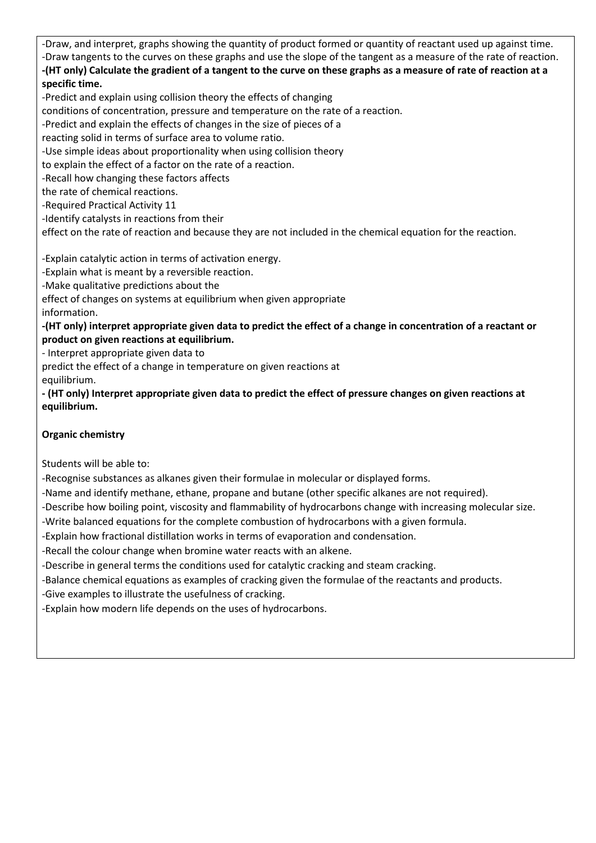-Draw, and interpret, graphs showing the quantity of product formed or quantity of reactant used up against time. -Draw tangents to the curves on these graphs and use the slope of the tangent as a measure of the rate of reaction. **-(HT only) Calculate the gradient of a tangent to the curve on these graphs as a measure of rate of reaction at a** 

# **specific time.**

-Predict and explain using collision theory the effects of changing

conditions of concentration, pressure and temperature on the rate of a reaction.

-Predict and explain the effects of changes in the size of pieces of a

reacting solid in terms of surface area to volume ratio.

-Use simple ideas about proportionality when using collision theory

to explain the effect of a factor on the rate of a reaction.

-Recall how changing these factors affects

the rate of chemical reactions.

-Required Practical Activity 11

-Identify catalysts in reactions from their

effect on the rate of reaction and because they are not included in the chemical equation for the reaction.

-Explain catalytic action in terms of activation energy.

-Explain what is meant by a reversible reaction.

-Make qualitative predictions about the

effect of changes on systems at equilibrium when given appropriate information.

**-(HT only) interpret appropriate given data to predict the effect of a change in concentration of a reactant or product on given reactions at equilibrium.**

- Interpret appropriate given data to

predict the effect of a change in temperature on given reactions at equilibrium.

**- (HT only) Interpret appropriate given data to predict the effect of pressure changes on given reactions at equilibrium.**

## **Organic chemistry**

Students will be able to:

-Recognise substances as alkanes given their formulae in molecular or displayed forms.

-Name and identify methane, ethane, propane and butane (other specific alkanes are not required).

-Describe how boiling point, viscosity and flammability of hydrocarbons change with increasing molecular size.

-Write balanced equations for the complete combustion of hydrocarbons with a given formula.

-Explain how fractional distillation works in terms of evaporation and condensation.

-Recall the colour change when bromine water reacts with an alkene.

-Describe in general terms the conditions used for catalytic cracking and steam cracking.

-Balance chemical equations as examples of cracking given the formulae of the reactants and products.

-Give examples to illustrate the usefulness of cracking.

-Explain how modern life depends on the uses of hydrocarbons.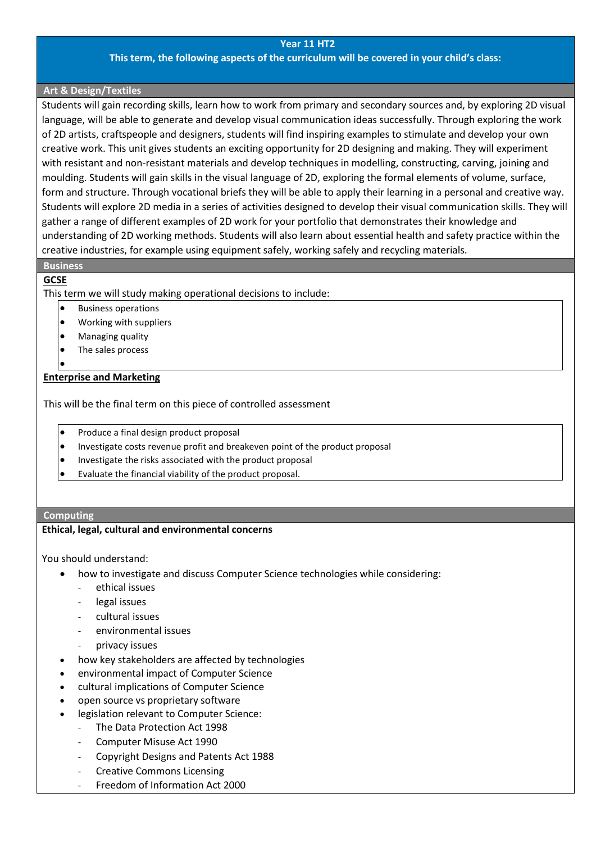#### **Year 11 HT2**

### **This term, the following aspects of the curriculum will be covered in your child's class:**

### **Art & Design/Textiles**

Students will gain recording skills, learn how to work from primary and secondary sources and, by exploring 2D visual language, will be able to generate and develop visual communication ideas successfully. Through exploring the work of 2D artists, craftspeople and designers, students will find inspiring examples to stimulate and develop your own creative work. This unit gives students an exciting opportunity for 2D designing and making. They will experiment with resistant and non-resistant materials and develop techniques in modelling, constructing, carving, joining and moulding. Students will gain skills in the visual language of 2D, exploring the formal elements of volume, surface, form and structure. Through vocational briefs they will be able to apply their learning in a personal and creative way. Students will explore 2D media in a series of activities designed to develop their visual communication skills. They will gather a range of different examples of 2D work for your portfolio that demonstrates their knowledge and understanding of 2D working methods. Students will also learn about essential health and safety practice within the creative industries, for example using equipment safely, working safely and recycling materials.

### **Business**

### **GCSE**

This term we will study making operational decisions to include:

- Business operations
- Working with suppliers
- Managing quality
- The sales process
- •

**Enterprise and Marketing**

This will be the final term on this piece of controlled assessment

- Produce a final design product proposal
- Investigate costs revenue profit and breakeven point of the product proposal
- Investigate the risks associated with the product proposal
- Evaluate the financial viability of the product proposal.

#### **Computing**

#### **Ethical, legal, cultural and environmental concerns**

You should understand:

- how to investigate and discuss Computer Science technologies while considering:
	- ethical issues
	- legal issues
	- cultural issues
	- environmental issues
	- privacy issues
- how key stakeholders are affected by technologies
- environmental impact of Computer Science
- cultural implications of Computer Science
- open source vs proprietary software
- legislation relevant to Computer Science:
	- The Data Protection Act 1998
	- Computer Misuse Act 1990
	- Copyright Designs and Patents Act 1988
	- Creative Commons Licensing
	- Freedom of Information Act 2000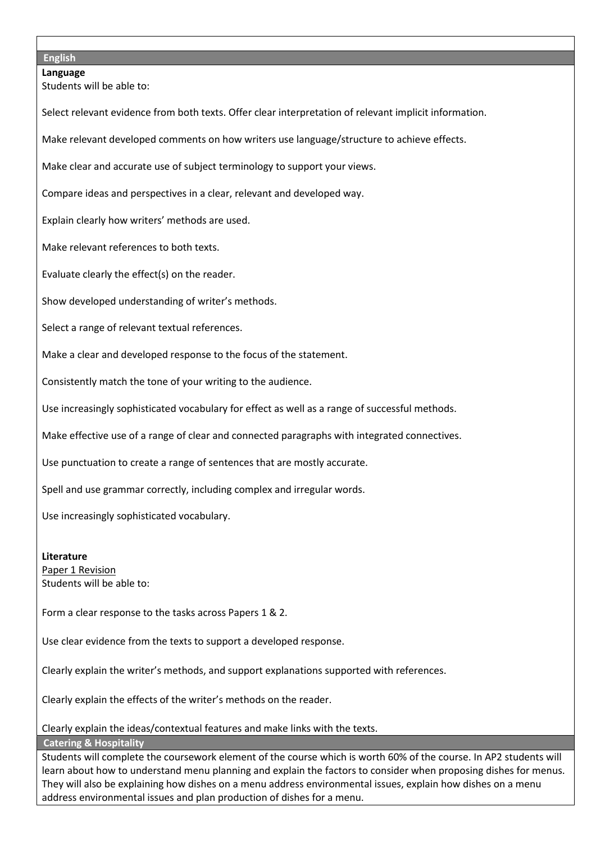#### **English**

**Language** Students will be able to: Select relevant evidence from both texts. Offer clear interpretation of relevant implicit information. Make relevant developed comments on how writers use language/structure to achieve effects. Make clear and accurate use of subject terminology to support your views. Compare ideas and perspectives in a clear, relevant and developed way. Explain clearly how writers' methods are used. Make relevant references to both texts. Evaluate clearly the effect(s) on the reader. Show developed understanding of writer's methods. Select a range of relevant textual references. Make a clear and developed response to the focus of the statement. Consistently match the tone of your writing to the audience. Use increasingly sophisticated vocabulary for effect as well as a range of successful methods. Make effective use of a range of clear and connected paragraphs with integrated connectives. Use punctuation to create a range of sentences that are mostly accurate. Spell and use grammar correctly, including complex and irregular words. Use increasingly sophisticated vocabulary. **Literature** Paper 1 Revision Students will be able to: Form a clear response to the tasks across Papers 1 & 2. Use clear evidence from the texts to support a developed response. Clearly explain the writer's methods, and support explanations supported with references.

Clearly explain the effects of the writer's methods on the reader.

Clearly explain the ideas/contextual features and make links with the texts.

**Catering & Hospitality**

Students will complete the coursework element of the course which is worth 60% of the course. In AP2 students will learn about how to understand menu planning and explain the factors to consider when proposing dishes for menus. They will also be explaining how dishes on a menu address environmental issues, explain how dishes on a menu address environmental issues and plan production of dishes for a menu.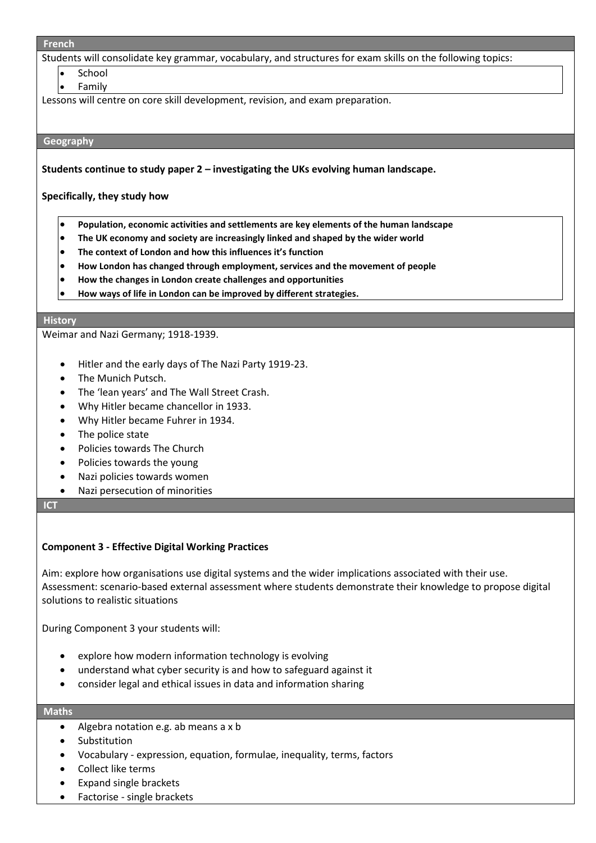#### **French**

Students will consolidate key grammar, vocabulary, and structures for exam skills on the following topics:

- **School**
- **Family**

Lessons will centre on core skill development, revision, and exam preparation.

#### **Geography**

**Students continue to study paper 2 – investigating the UKs evolving human landscape.**

#### **Specifically, they study how**

- **Population, economic activities and settlements are key elements of the human landscape**
- **The UK economy and society are increasingly linked and shaped by the wider world**
- **The context of London and how this influences it's function**
- **How London has changed through employment, services and the movement of people**
- **How the changes in London create challenges and opportunities**
- **How ways of life in London can be improved by different strategies.**

#### **History**

Weimar and Nazi Germany; 1918-1939.

- Hitler and the early days of The Nazi Party 1919-23.
- The Munich Putsch.
- The 'lean years' and The Wall Street Crash.
- Why Hitler became chancellor in 1933.
- Why Hitler became Fuhrer in 1934.
- The police state
- Policies towards The Church
- Policies towards the young
- Nazi policies towards women
- Nazi persecution of minorities

#### **ICT**

### **Component 3 - Effective Digital Working Practices**

Aim: explore how organisations use digital systems and the wider implications associated with their use. Assessment: scenario-based external assessment where students demonstrate their knowledge to propose digital solutions to realistic situations

During Component 3 your students will:

- explore how modern information technology is evolving
- understand what cyber security is and how to safeguard against it
- consider legal and ethical issues in data and information sharing

#### **Maths**

- Algebra notation e.g. ab means a x b
- **Substitution**
- Vocabulary expression, equation, formulae, inequality, terms, factors
- Collect like terms
- Expand single brackets
- Factorise single brackets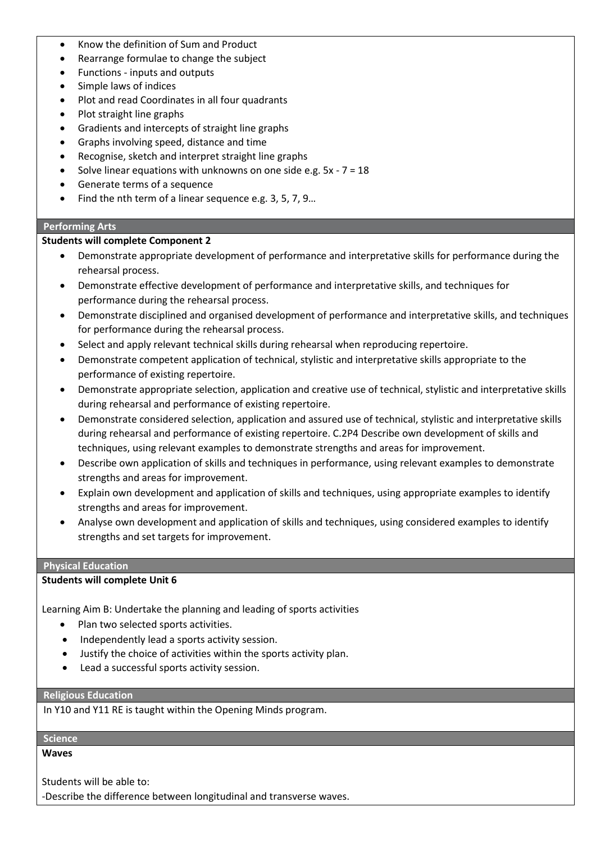- Know the definition of Sum and Product
- Rearrange formulae to change the subject
- Functions inputs and outputs
- Simple laws of indices
- Plot and read Coordinates in all four quadrants
- Plot straight line graphs
- Gradients and intercepts of straight line graphs
- Graphs involving speed, distance and time
- Recognise, sketch and interpret straight line graphs
- Solve linear equations with unknowns on one side e.g.  $5x 7 = 18$
- Generate terms of a sequence
- Find the nth term of a linear sequence e.g. 3, 5, 7, 9…

# **Performing Arts**

# **Students will complete Component 2**

- Demonstrate appropriate development of performance and interpretative skills for performance during the rehearsal process.
- Demonstrate effective development of performance and interpretative skills, and techniques for performance during the rehearsal process.
- Demonstrate disciplined and organised development of performance and interpretative skills, and techniques for performance during the rehearsal process.
- Select and apply relevant technical skills during rehearsal when reproducing repertoire.
- Demonstrate competent application of technical, stylistic and interpretative skills appropriate to the performance of existing repertoire.
- Demonstrate appropriate selection, application and creative use of technical, stylistic and interpretative skills during rehearsal and performance of existing repertoire.
- Demonstrate considered selection, application and assured use of technical, stylistic and interpretative skills during rehearsal and performance of existing repertoire. C.2P4 Describe own development of skills and techniques, using relevant examples to demonstrate strengths and areas for improvement.
- Describe own application of skills and techniques in performance, using relevant examples to demonstrate strengths and areas for improvement.
- Explain own development and application of skills and techniques, using appropriate examples to identify strengths and areas for improvement.
- Analyse own development and application of skills and techniques, using considered examples to identify strengths and set targets for improvement.

## **Physical Education**

## **Students will complete Unit 6**

Learning Aim B: Undertake the planning and leading of sports activities

- Plan two selected sports activities.
- Independently lead a sports activity session.
- Justify the choice of activities within the sports activity plan.
- Lead a successful sports activity session.

## **Religious Education**

In Y10 and Y11 RE is taught within the Opening Minds program.

# **Science**

## **Waves**

Students will be able to:

-Describe the difference between longitudinal and transverse waves.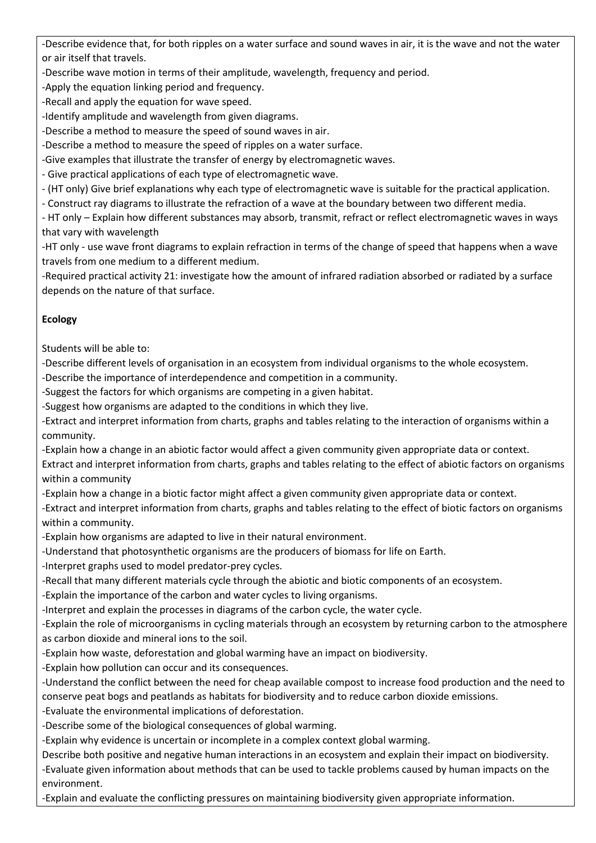-Describe evidence that, for both ripples on a water surface and sound waves in air, it is the wave and not the water or air itself that travels.

-Describe wave motion in terms of their amplitude, wavelength, frequency and period.

-Apply the equation linking period and frequency.

-Recall and apply the equation for wave speed.

-Identify amplitude and wavelength from given diagrams.

-Describe a method to measure the speed of sound waves in air.

-Describe a method to measure the speed of ripples on a water surface.

-Give examples that illustrate the transfer of energy by electromagnetic waves.

- Give practical applications of each type of electromagnetic wave.

- (HT only) Give brief explanations why each type of electromagnetic wave is suitable for the practical application.

- Construct ray diagrams to illustrate the refraction of a wave at the boundary between two different media.

- HT only – Explain how different substances may absorb, transmit, refract or reflect electromagnetic waves in ways that vary with wavelength

-HT only - use wave front diagrams to explain refraction in terms of the change of speed that happens when a wave travels from one medium to a different medium.

-Required practical activity 21: investigate how the amount of infrared radiation absorbed or radiated by a surface depends on the nature of that surface.

## **Ecology**

Students will be able to:

-Describe different levels of organisation in an ecosystem from individual organisms to the whole ecosystem.

-Describe the importance of interdependence and competition in a community.

-Suggest the factors for which organisms are competing in a given habitat.

-Suggest how organisms are adapted to the conditions in which they live.

-Extract and interpret information from charts, graphs and tables relating to the interaction of organisms within a community.

-Explain how a change in an abiotic factor would affect a given community given appropriate data or context.

Extract and interpret information from charts, graphs and tables relating to the effect of abiotic factors on organisms within a community

-Explain how a change in a biotic factor might affect a given community given appropriate data or context.

-Extract and interpret information from charts, graphs and tables relating to the effect of biotic factors on organisms within a community.

-Explain how organisms are adapted to live in their natural environment.

-Understand that photosynthetic organisms are the producers of biomass for life on Earth.

-Interpret graphs used to model predator-prey cycles.

-Recall that many different materials cycle through the abiotic and biotic components of an ecosystem.

-Explain the importance of the carbon and water cycles to living organisms.

-Interpret and explain the processes in diagrams of the carbon cycle, the water cycle.

-Explain the role of microorganisms in cycling materials through an ecosystem by returning carbon to the atmosphere as carbon dioxide and mineral ions to the soil.

-Explain how waste, deforestation and global warming have an impact on biodiversity.

-Explain how pollution can occur and its consequences.

-Understand the conflict between the need for cheap available compost to increase food production and the need to conserve peat bogs and peatlands as habitats for biodiversity and to reduce carbon dioxide emissions.

-Evaluate the environmental implications of deforestation.

-Describe some of the biological consequences of global warming.

-Explain why evidence is uncertain or incomplete in a complex context global warming.

Describe both positive and negative human interactions in an ecosystem and explain their impact on biodiversity. -Evaluate given information about methods that can be used to tackle problems caused by human impacts on the environment.

-Explain and evaluate the conflicting pressures on maintaining biodiversity given appropriate information.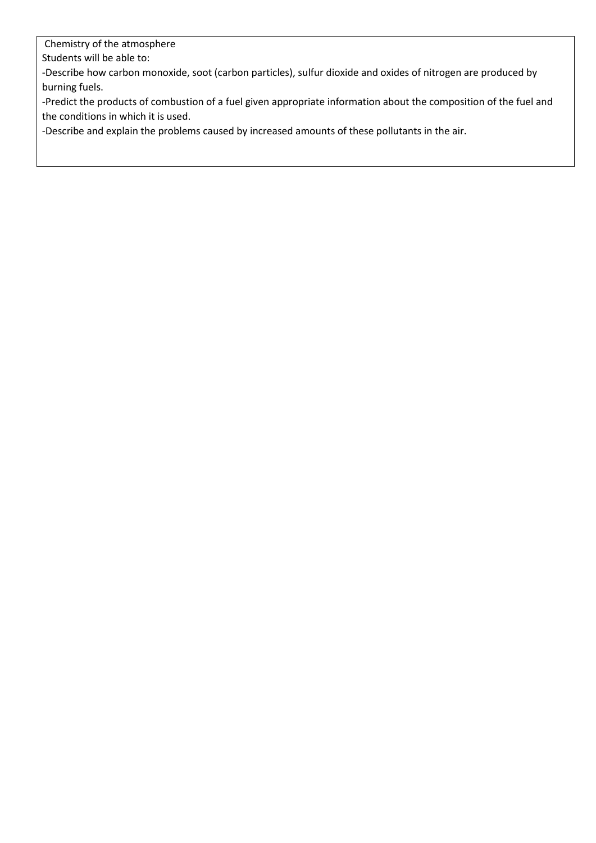Chemistry of the atmosphere

Students will be able to:

-Describe how carbon monoxide, soot (carbon particles), sulfur dioxide and oxides of nitrogen are produced by burning fuels.

-Predict the products of combustion of a fuel given appropriate information about the composition of the fuel and the conditions in which it is used.

-Describe and explain the problems caused by increased amounts of these pollutants in the air.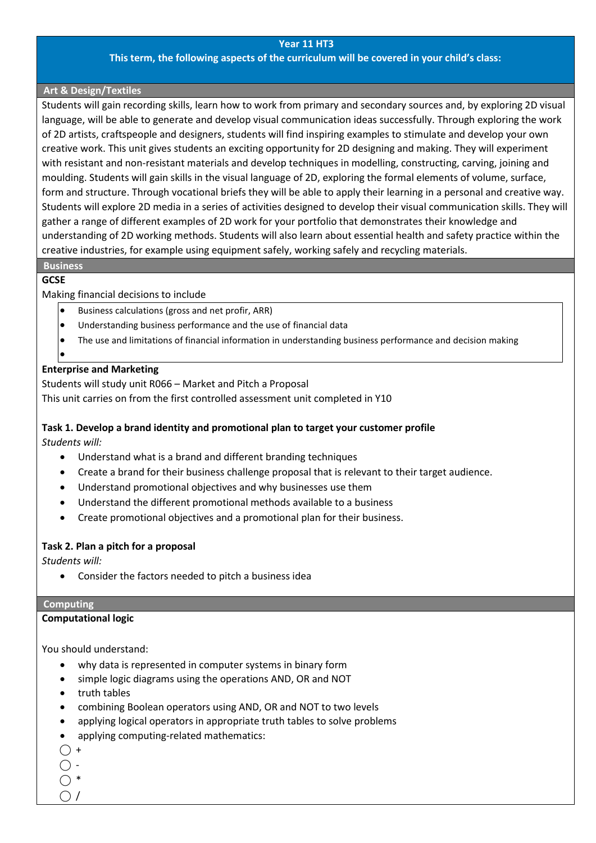#### **Year 11 HT3**

### **This term, the following aspects of the curriculum will be covered in your child's class:**

### **Art & Design/Textiles**

Students will gain recording skills, learn how to work from primary and secondary sources and, by exploring 2D visual language, will be able to generate and develop visual communication ideas successfully. Through exploring the work of 2D artists, craftspeople and designers, students will find inspiring examples to stimulate and develop your own creative work. This unit gives students an exciting opportunity for 2D designing and making. They will experiment with resistant and non-resistant materials and develop techniques in modelling, constructing, carving, joining and moulding. Students will gain skills in the visual language of 2D, exploring the formal elements of volume, surface, form and structure. Through vocational briefs they will be able to apply their learning in a personal and creative way. Students will explore 2D media in a series of activities designed to develop their visual communication skills. They will gather a range of different examples of 2D work for your portfolio that demonstrates their knowledge and understanding of 2D working methods. Students will also learn about essential health and safety practice within the creative industries, for example using equipment safely, working safely and recycling materials.

## **Business**

## **GCSE**

### Making financial decisions to include

- Business calculations (gross and net profir, ARR)
- Understanding business performance and the use of financial data
- The use and limitations of financial information in understanding business performance and decision making
- •

### **Enterprise and Marketing**

## Students will study unit R066 – Market and Pitch a Proposal

This unit carries on from the first controlled assessment unit completed in Y10

## **Task 1. Develop a brand identity and promotional plan to target your customer profile**

*Students will:*

- Understand what is a brand and different branding techniques
- Create a brand for their business challenge proposal that is relevant to their target audience.
- Understand promotional objectives and why businesses use them
- Understand the different promotional methods available to a business
- Create promotional objectives and a promotional plan for their business.

### **Task 2. Plan a pitch for a proposal**

*Students will:*

• Consider the factors needed to pitch a business idea

### **Computing**

### **Computational logic**

You should understand:

- why data is represented in computer systems in binary form
- simple logic diagrams using the operations AND, OR and NOT
- truth tables
- combining Boolean operators using AND, OR and NOT to two levels
- applying logical operators in appropriate truth tables to solve problems
- applying computing-related mathematics:
- $\bigcap$  +

 $\bigcirc$  -

 $\bigcap$  \*  $\bigcap$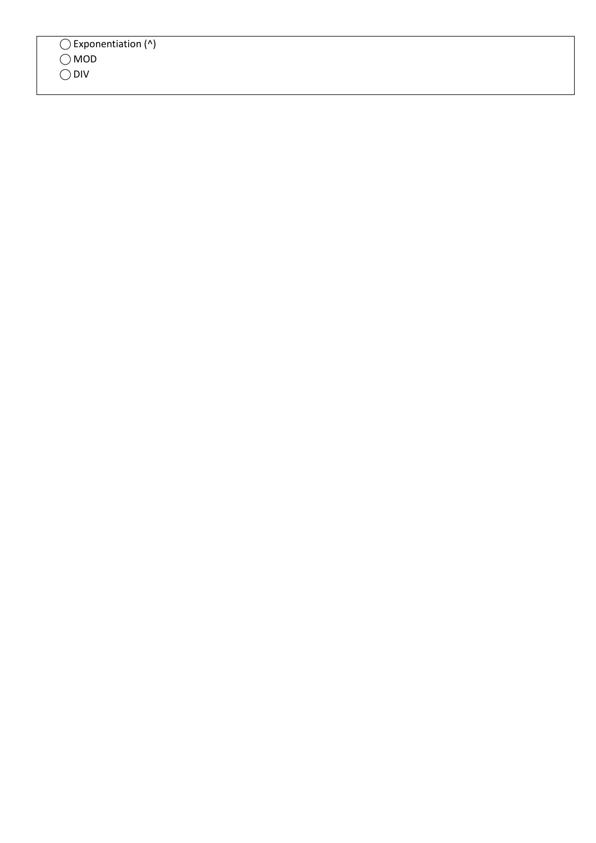| $\bigcirc$ Exponentiation (^)<br>$\bigcirc$ MOD<br>$\bigcirc$ DIV |
|-------------------------------------------------------------------|
|-------------------------------------------------------------------|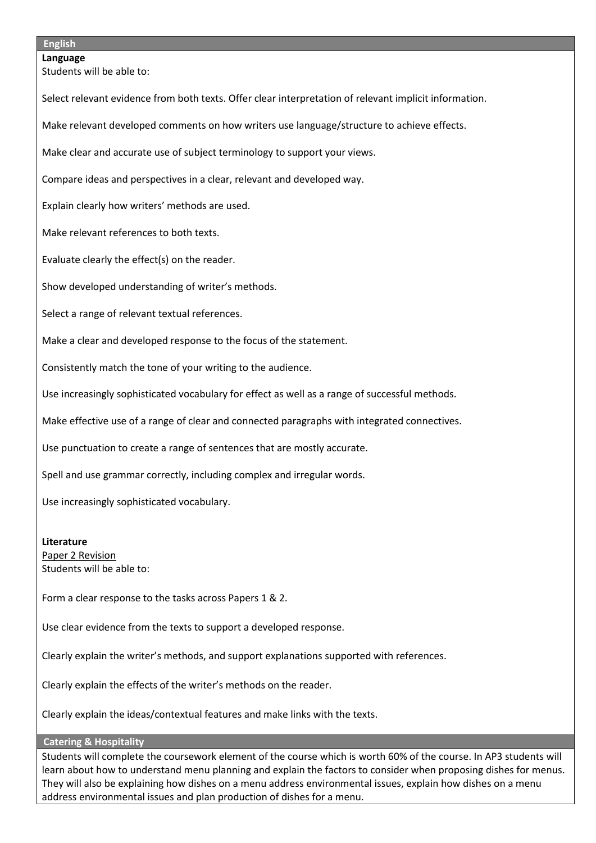### **English**

**Language** Students will be able to:

Select relevant evidence from both texts. Offer clear interpretation of relevant implicit information.

Make relevant developed comments on how writers use language/structure to achieve effects.

Make clear and accurate use of subject terminology to support your views.

Compare ideas and perspectives in a clear, relevant and developed way.

Explain clearly how writers' methods are used.

Make relevant references to both texts.

Evaluate clearly the effect(s) on the reader.

Show developed understanding of writer's methods.

Select a range of relevant textual references.

Make a clear and developed response to the focus of the statement.

Consistently match the tone of your writing to the audience.

Use increasingly sophisticated vocabulary for effect as well as a range of successful methods.

Make effective use of a range of clear and connected paragraphs with integrated connectives.

Use punctuation to create a range of sentences that are mostly accurate.

Spell and use grammar correctly, including complex and irregular words.

Use increasingly sophisticated vocabulary.

#### **Literature**

Paper 2 Revision Students will be able to:

Form a clear response to the tasks across Papers 1 & 2.

Use clear evidence from the texts to support a developed response.

Clearly explain the writer's methods, and support explanations supported with references.

Clearly explain the effects of the writer's methods on the reader.

Clearly explain the ideas/contextual features and make links with the texts.

### **Catering & Hospitality**

Students will complete the coursework element of the course which is worth 60% of the course. In AP3 students will learn about how to understand menu planning and explain the factors to consider when proposing dishes for menus. They will also be explaining how dishes on a menu address environmental issues, explain how dishes on a menu address environmental issues and plan production of dishes for a menu.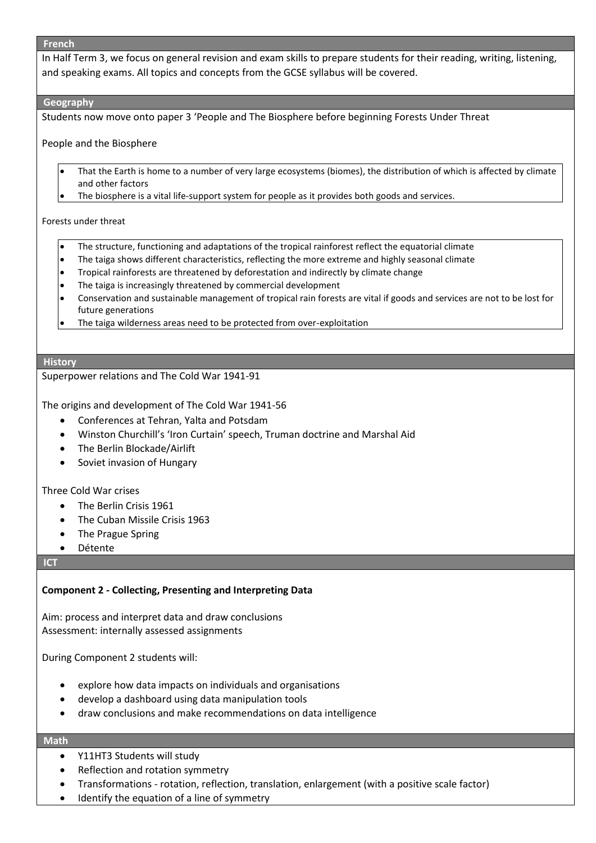#### **French**

In Half Term 3, we focus on general revision and exam skills to prepare students for their reading, writing, listening, and speaking exams. All topics and concepts from the GCSE syllabus will be covered.

### **Geography**

Students now move onto paper 3 'People and The Biosphere before beginning Forests Under Threat

### People and the Biosphere

- That the Earth is home to a number of very large ecosystems (biomes), the distribution of which is affected by climate and other factors
- The biosphere is a vital life-support system for people as it provides both goods and services.

#### Forests under threat

- The structure, functioning and adaptations of the tropical rainforest reflect the equatorial climate
- The taiga shows different characteristics, reflecting the more extreme and highly seasonal climate
- Tropical rainforests are threatened by deforestation and indirectly by climate change
- The taiga is increasingly threatened by commercial development
- Conservation and sustainable management of tropical rain forests are vital if goods and services are not to be lost for future generations
- The taiga wilderness areas need to be protected from over-exploitation

#### **History**

#### Superpower relations and The Cold War 1941-91

The origins and development of The Cold War 1941-56

- Conferences at Tehran, Yalta and Potsdam
- Winston Churchill's 'Iron Curtain' speech, Truman doctrine and Marshal Aid
- The Berlin Blockade/Airlift
- Soviet invasion of Hungary

### Three Cold War crises

- The Berlin Crisis 1961
- The Cuban Missile Crisis 1963
- The Prague Spring
- Détente

#### **ICT**

## **Component 2 - Collecting, Presenting and Interpreting Data**

Aim: process and interpret data and draw conclusions Assessment: internally assessed assignments

During Component 2 students will:

- explore how data impacts on individuals and organisations
- develop a dashboard using data manipulation tools
- draw conclusions and make recommendations on data intelligence

### **Math**

- Y11HT3 Students will study
- Reflection and rotation symmetry
- Transformations rotation, reflection, translation, enlargement (with a positive scale factor)
- Identify the equation of a line of symmetry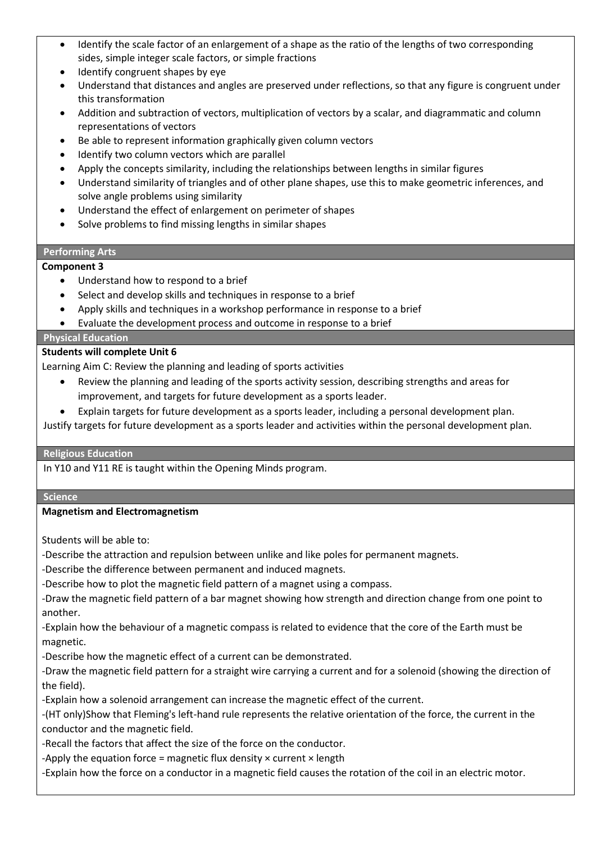- Identify the scale factor of an enlargement of a shape as the ratio of the lengths of two corresponding sides, simple integer scale factors, or simple fractions
- Identify congruent shapes by eye
- Understand that distances and angles are preserved under reflections, so that any figure is congruent under this transformation
- Addition and subtraction of vectors, multiplication of vectors by a scalar, and diagrammatic and column representations of vectors
- Be able to represent information graphically given column vectors
- Identify two column vectors which are parallel
- Apply the concepts similarity, including the relationships between lengths in similar figures
- Understand similarity of triangles and of other plane shapes, use this to make geometric inferences, and solve angle problems using similarity
- Understand the effect of enlargement on perimeter of shapes
- Solve problems to find missing lengths in similar shapes

## **Performing Arts**

## **Component 3**

- Understand how to respond to a brief
- Select and develop skills and techniques in response to a brief
- Apply skills and techniques in a workshop performance in response to a brief
- Evaluate the development process and outcome in response to a brief

## **Physical Education**

## **Students will complete Unit 6**

Learning Aim C: Review the planning and leading of sports activities

- Review the planning and leading of the sports activity session, describing strengths and areas for improvement, and targets for future development as a sports leader.
- Explain targets for future development as a sports leader, including a personal development plan.

Justify targets for future development as a sports leader and activities within the personal development plan.

### **Religious Education**

In Y10 and Y11 RE is taught within the Opening Minds program.

**Science**

## **Magnetism and Electromagnetism**

Students will be able to:

-Describe the attraction and repulsion between unlike and like poles for permanent magnets.

-Describe the difference between permanent and induced magnets.

-Describe how to plot the magnetic field pattern of a magnet using a compass.

-Draw the magnetic field pattern of a bar magnet showing how strength and direction change from one point to another.

-Explain how the behaviour of a magnetic compass is related to evidence that the core of the Earth must be magnetic.

-Describe how the magnetic effect of a current can be demonstrated.

-Draw the magnetic field pattern for a straight wire carrying a current and for a solenoid (showing the direction of the field).

-Explain how a solenoid arrangement can increase the magnetic effect of the current.

-(HT only)Show that Fleming's left-hand rule represents the relative orientation of the force, the current in the conductor and the magnetic field.

-Recall the factors that affect the size of the force on the conductor.

-Apply the equation force = magnetic flux density  $\times$  current  $\times$  length

-Explain how the force on a conductor in a magnetic field causes the rotation of the coil in an electric motor.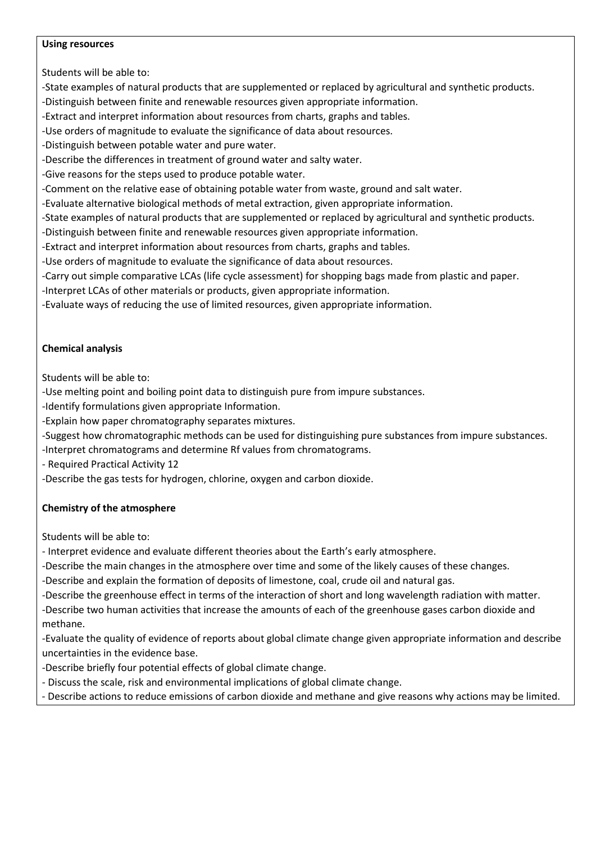### **Using resources**

Students will be able to:

- -State examples of natural products that are supplemented or replaced by agricultural and synthetic products.
- -Distinguish between finite and renewable resources given appropriate information.
- -Extract and interpret information about resources from charts, graphs and tables.
- -Use orders of magnitude to evaluate the significance of data about resources.
- -Distinguish between potable water and pure water.
- -Describe the differences in treatment of ground water and salty water.
- -Give reasons for the steps used to produce potable water.
- -Comment on the relative ease of obtaining potable water from waste, ground and salt water.
- -Evaluate alternative biological methods of metal extraction, given appropriate information.
- -State examples of natural products that are supplemented or replaced by agricultural and synthetic products.
- -Distinguish between finite and renewable resources given appropriate information.
- -Extract and interpret information about resources from charts, graphs and tables.
- -Use orders of magnitude to evaluate the significance of data about resources.
- -Carry out simple comparative LCAs (life cycle assessment) for shopping bags made from plastic and paper.
- -Interpret LCAs of other materials or products, given appropriate information.
- -Evaluate ways of reducing the use of limited resources, given appropriate information.

# **Chemical analysis**

Students will be able to:

- -Use melting point and boiling point data to distinguish pure from impure substances.
- -Identify formulations given appropriate Information.
- -Explain how paper chromatography separates mixtures.
- -Suggest how chromatographic methods can be used for distinguishing pure substances from impure substances.
- -Interpret chromatograms and determine Rf values from chromatograms.
- Required Practical Activity 12
- -Describe the gas tests for hydrogen, chlorine, oxygen and carbon dioxide.

# **Chemistry of the atmosphere**

Students will be able to:

- Interpret evidence and evaluate different theories about the Earth's early atmosphere.
- -Describe the main changes in the atmosphere over time and some of the likely causes of these changes.
- -Describe and explain the formation of deposits of limestone, coal, crude oil and natural gas.
- -Describe the greenhouse effect in terms of the interaction of short and long wavelength radiation with matter.
- -Describe two human activities that increase the amounts of each of the greenhouse gases carbon dioxide and methane.
- -Evaluate the quality of evidence of reports about global climate change given appropriate information and describe uncertainties in the evidence base.
- -Describe briefly four potential effects of global climate change.
- Discuss the scale, risk and environmental implications of global climate change.
- Describe actions to reduce emissions of carbon dioxide and methane and give reasons why actions may be limited.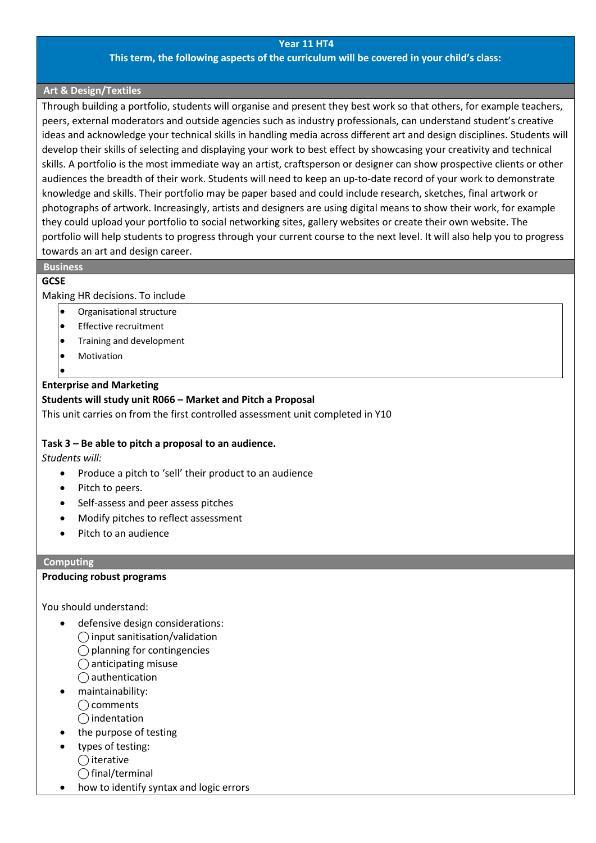### **Year 11 HT4**

### **This term, the following aspects of the curriculum will be covered in your child's class:**

### **Art & Design/Textiles**

Through building a portfolio, students will organise and present they best work so that others, for example teachers, peers, external moderators and outside agencies such as industry professionals, can understand student's creative ideas and acknowledge your technical skills in handling media across different art and design disciplines. Students will develop their skills of selecting and displaying your work to best effect by showcasing your creativity and technical skills. A portfolio is the most immediate way an artist, craftsperson or designer can show prospective clients or other audiences the breadth of their work. Students will need to keep an up-to-date record of your work to demonstrate knowledge and skills. Their portfolio may be paper based and could include research, sketches, final artwork or photographs of artwork. Increasingly, artists and designers are using digital means to show their work, for example they could upload your portfolio to social networking sites, gallery websites or create their own website. The portfolio will help students to progress through your current course to the next level. It will also help you to progress towards an art and design career.

# **Business**

## **GCSE**

Making HR decisions. To include

- Organisational structure
- **Effective recruitment**
- Training and development
- **Motivation**
- •

# **Enterprise and Marketing**

### **Students will study unit R066 – Market and Pitch a Proposal**

This unit carries on from the first controlled assessment unit completed in Y10

## **Task 3 – Be able to pitch a proposal to an audience.**

*Students will:*

- Produce a pitch to 'sell' their product to an audience
- Pitch to peers.
- Self-assess and peer assess pitches
- Modify pitches to reflect assessment
- Pitch to an audience

### **Computing**

### **Producing robust programs**

You should understand:

- defensive design considerations:
	- $\bigcirc$  input sanitisation/validation
	- $\bigcirc$  planning for contingencies
	- $\bigcap$  anticipating misuse
	- $\bigcap$  authentication
- maintainability:
	- ◯ comments
	- ⃝ indentation
- the purpose of testing
- types of testing:
- $\bigcap$  iterative
- $\bigcap$  final/terminal
- how to identify syntax and logic errors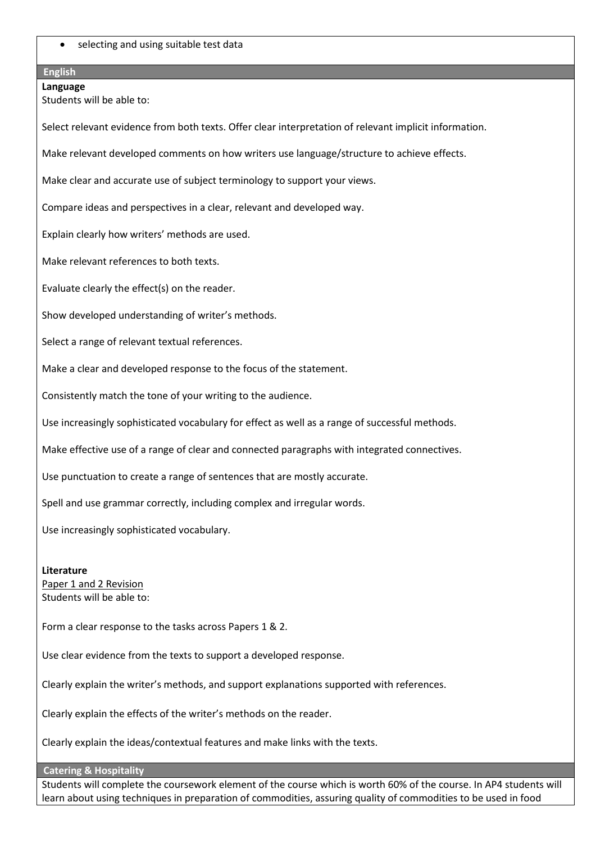selecting and using suitable test data

# **English**

**Language** Students will be able to:

Select relevant evidence from both texts. Offer clear interpretation of relevant implicit information.

Make relevant developed comments on how writers use language/structure to achieve effects.

Make clear and accurate use of subject terminology to support your views.

Compare ideas and perspectives in a clear, relevant and developed way.

Explain clearly how writers' methods are used.

Make relevant references to both texts.

Evaluate clearly the effect(s) on the reader.

Show developed understanding of writer's methods.

Select a range of relevant textual references.

Make a clear and developed response to the focus of the statement.

Consistently match the tone of your writing to the audience.

Use increasingly sophisticated vocabulary for effect as well as a range of successful methods.

Make effective use of a range of clear and connected paragraphs with integrated connectives.

Use punctuation to create a range of sentences that are mostly accurate.

Spell and use grammar correctly, including complex and irregular words.

Use increasingly sophisticated vocabulary.

**Literature** Paper 1 and 2 Revision Students will be able to:

Form a clear response to the tasks across Papers 1 & 2.

Use clear evidence from the texts to support a developed response.

Clearly explain the writer's methods, and support explanations supported with references.

Clearly explain the effects of the writer's methods on the reader.

Clearly explain the ideas/contextual features and make links with the texts.

**Catering & Hospitality**

Students will complete the coursework element of the course which is worth 60% of the course. In AP4 students will learn about using techniques in preparation of commodities, assuring quality of commodities to be used in food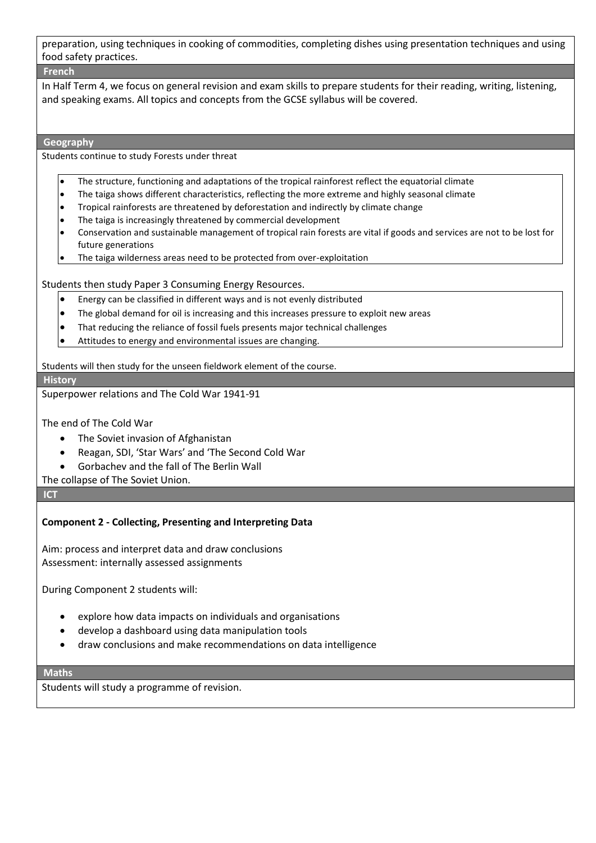preparation, using techniques in cooking of commodities, completing dishes using presentation techniques and using food safety practices.

### **French**

In Half Term 4, we focus on general revision and exam skills to prepare students for their reading, writing, listening, and speaking exams. All topics and concepts from the GCSE syllabus will be covered.

#### **Geography**

Students continue to study Forests under threat

- The structure, functioning and adaptations of the tropical rainforest reflect the equatorial climate
- The taiga shows different characteristics, reflecting the more extreme and highly seasonal climate
- $\bullet$  Tropical rainforests are threatened by deforestation and indirectly by climate change
- The taiga is increasingly threatened by commercial development
- Conservation and sustainable management of tropical rain forests are vital if goods and services are not to be lost for future generations
- The taiga wilderness areas need to be protected from over-exploitation

Students then study Paper 3 Consuming Energy Resources.

- $\bullet$  Energy can be classified in different ways and is not evenly distributed
- $\bullet$  The global demand for oil is increasing and this increases pressure to exploit new areas
- That reducing the reliance of fossil fuels presents major technical challenges
- Attitudes to energy and environmental issues are changing.

Students will then study for the unseen fieldwork element of the course.

#### **History**

Superpower relations and The Cold War 1941-91

The end of The Cold War

- The Soviet invasion of Afghanistan
- Reagan, SDI, 'Star Wars' and 'The Second Cold War
- Gorbachev and the fall of The Berlin Wall

The collapse of The Soviet Union.

**ICT**

## **Component 2 - Collecting, Presenting and Interpreting Data**

Aim: process and interpret data and draw conclusions Assessment: internally assessed assignments

During Component 2 students will:

- explore how data impacts on individuals and organisations
- develop a dashboard using data manipulation tools
- draw conclusions and make recommendations on data intelligence

#### **Maths**

Students will study a programme of revision.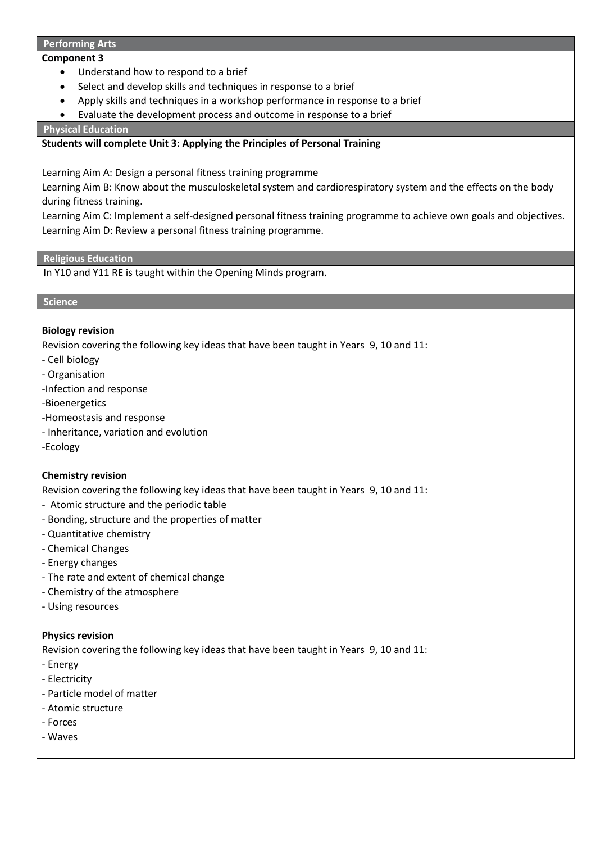#### **Performing Arts**

### **Component 3**

- Understand how to respond to a brief
- Select and develop skills and techniques in response to a brief
- Apply skills and techniques in a workshop performance in response to a brief
- Evaluate the development process and outcome in response to a brief

**Physical Education**

### **Students will complete Unit 3: Applying the Principles of Personal Training**

Learning Aim A: Design a personal fitness training programme

Learning Aim B: Know about the musculoskeletal system and cardiorespiratory system and the effects on the body during fitness training.

Learning Aim C: Implement a self-designed personal fitness training programme to achieve own goals and objectives. Learning Aim D: Review a personal fitness training programme.

### **Religious Education**

In Y10 and Y11 RE is taught within the Opening Minds program.

### **Science**

### **Biology revision**

Revision covering the following key ideas that have been taught in Years 9, 10 and 11:

- Cell biology
- Organisation
- -Infection and response
- -Bioenergetics
- -Homeostasis and response
- Inheritance, variation and evolution
- -Ecology

## **Chemistry revision**

Revision covering the following key ideas that have been taught in Years 9, 10 and 11:

- Atomic structure and the periodic table
- Bonding, structure and the properties of matter
- Quantitative chemistry
- Chemical Changes
- Energy changes
- The rate and extent of chemical change
- Chemistry of the atmosphere
- Using resources

## **Physics revision**

Revision covering the following key ideas that have been taught in Years 9, 10 and 11:

- Energy
- Electricity
- Particle model of matter
- Atomic structure
- Forces
- Waves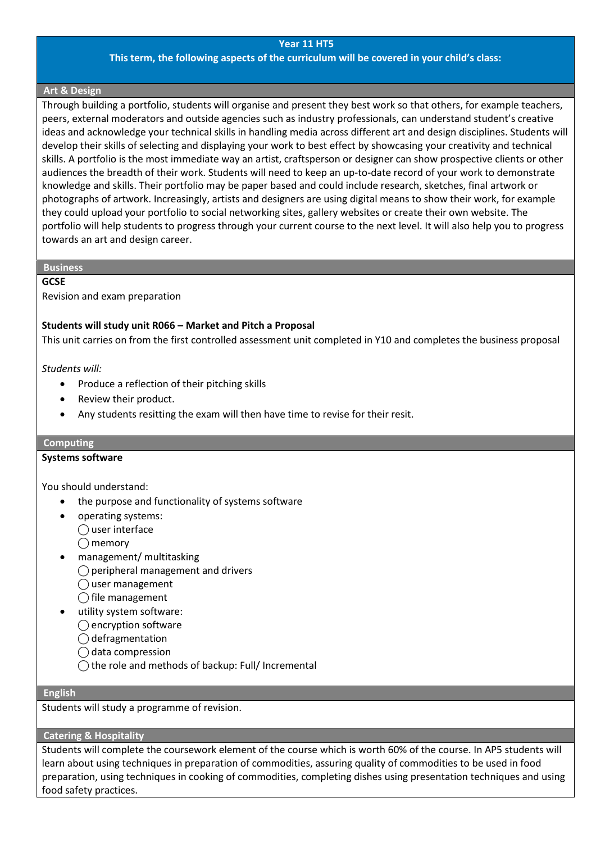#### **Year 11 HT5**

### **This term, the following aspects of the curriculum will be covered in your child's class:**

#### **Art & Design**

Through building a portfolio, students will organise and present they best work so that others, for example teachers, peers, external moderators and outside agencies such as industry professionals, can understand student's creative ideas and acknowledge your technical skills in handling media across different art and design disciplines. Students will develop their skills of selecting and displaying your work to best effect by showcasing your creativity and technical skills. A portfolio is the most immediate way an artist, craftsperson or designer can show prospective clients or other audiences the breadth of their work. Students will need to keep an up-to-date record of your work to demonstrate knowledge and skills. Their portfolio may be paper based and could include research, sketches, final artwork or photographs of artwork. Increasingly, artists and designers are using digital means to show their work, for example they could upload your portfolio to social networking sites, gallery websites or create their own website. The portfolio will help students to progress through your current course to the next level. It will also help you to progress towards an art and design career.

#### **Business**

#### **GCSE**

### Revision and exam preparation

### **Students will study unit R066 – Market and Pitch a Proposal**

This unit carries on from the first controlled assessment unit completed in Y10 and completes the business proposal

*Students will:*

- Produce a reflection of their pitching skills
- Review their product.
- Any students resitting the exam will then have time to revise for their resit.

#### **Computing**

#### **Systems software**

You should understand:

- the purpose and functionality of systems software
- operating systems:
	- $\bigcirc$  user interface
	- $\bigcirc$  memory
- management/ multitasking
	- ◯ peripheral management and drivers
	- $\bigcap$  user management
	- $\bigcap$  file management
- utility system software:
	- $\bigcirc$  encryption software
	- $\bigcirc$  defragmentation
	- ⃝ data compression
	- $\bigcap$  the role and methods of backup: Full/ Incremental

#### **English**

Students will study a programme of revision.

### **Catering & Hospitality**

Students will complete the coursework element of the course which is worth 60% of the course. In AP5 students will learn about using techniques in preparation of commodities, assuring quality of commodities to be used in food preparation, using techniques in cooking of commodities, completing dishes using presentation techniques and using food safety practices.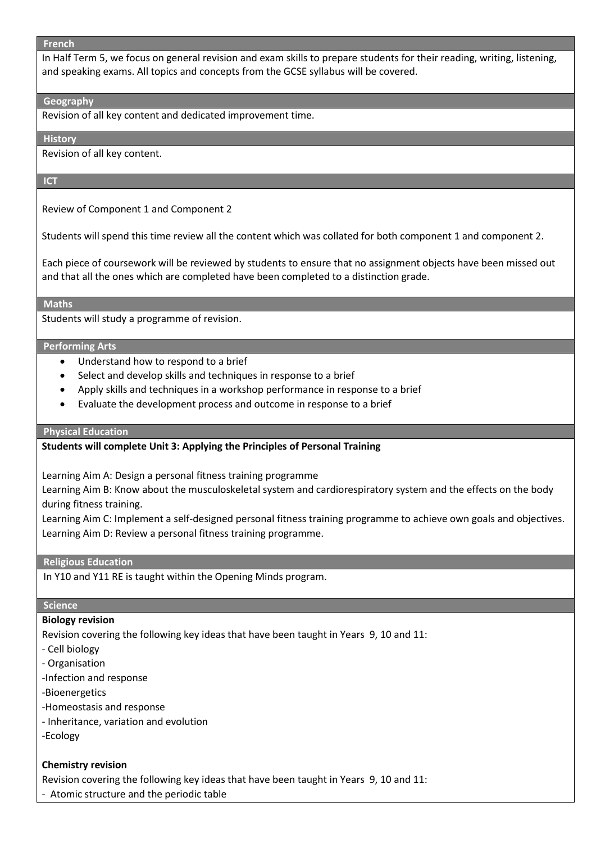#### **French**

In Half Term 5, we focus on general revision and exam skills to prepare students for their reading, writing, listening, and speaking exams. All topics and concepts from the GCSE syllabus will be covered.

#### **Geography**

Revision of all key content and dedicated improvement time.

#### **History**

Revision of all key content.

#### **ICT**

Review of Component 1 and Component 2

Students will spend this time review all the content which was collated for both component 1 and component 2.

Each piece of coursework will be reviewed by students to ensure that no assignment objects have been missed out and that all the ones which are completed have been completed to a distinction grade.

#### **Maths**

Students will study a programme of revision.

#### **Performing Arts**

- Understand how to respond to a brief
- Select and develop skills and techniques in response to a brief
- Apply skills and techniques in a workshop performance in response to a brief
- Evaluate the development process and outcome in response to a brief

### **Physical Education**

### **Students will complete Unit 3: Applying the Principles of Personal Training**

Learning Aim A: Design a personal fitness training programme

Learning Aim B: Know about the musculoskeletal system and cardiorespiratory system and the effects on the body during fitness training.

Learning Aim C: Implement a self-designed personal fitness training programme to achieve own goals and objectives. Learning Aim D: Review a personal fitness training programme.

## **Religious Education**

In Y10 and Y11 RE is taught within the Opening Minds program.

### **Science**

### **Biology revision**

Revision covering the following key ideas that have been taught in Years 9, 10 and 11:

- Cell biology
- Organisation
- -Infection and response
- -Bioenergetics
- -Homeostasis and response
- Inheritance, variation and evolution
- -Ecology

### **Chemistry revision**

Revision covering the following key ideas that have been taught in Years 9, 10 and 11:

- Atomic structure and the periodic table